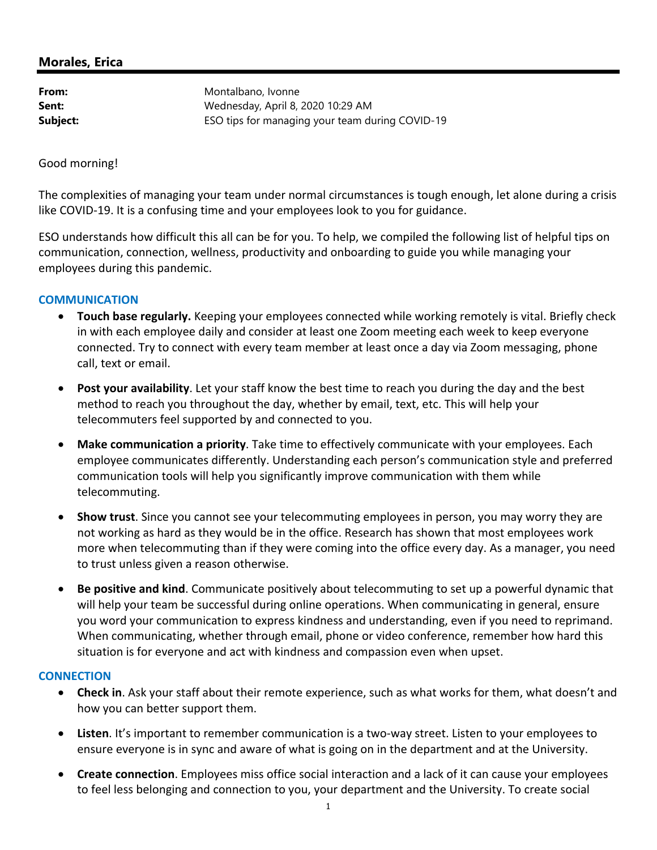# **Morales, Erica**

**From:** Montalbano, Ivonne **Sent:** Wednesday, April 8, 2020 10:29 AM **Subject:** ESO tips for managing your team during COVID-19

Good morning!

The complexities of managing your team under normal circumstances is tough enough, let alone during a crisis like COVID‐19. It is a confusing time and your employees look to you for guidance.

ESO understands how difficult this all can be for you. To help, we compiled the following list of helpful tips on communication, connection, wellness, productivity and onboarding to guide you while managing your employees during this pandemic.

### **COMMUNICATION**

- **Touch base regularly.** Keeping your employees connected while working remotely is vital. Briefly check in with each employee daily and consider at least one Zoom meeting each week to keep everyone connected. Try to connect with every team member at least once a day via Zoom messaging, phone call, text or email.
- **Post your availability**. Let your staff know the best time to reach you during the day and the best method to reach you throughout the day, whether by email, text, etc. This will help your telecommuters feel supported by and connected to you.
- **Make communication a priority**. Take time to effectively communicate with your employees. Each employee communicates differently. Understanding each person's communication style and preferred communication tools will help you significantly improve communication with them while telecommuting.
- **Show trust**. Since you cannot see your telecommuting employees in person, you may worry they are not working as hard as they would be in the office. Research has shown that most employees work more when telecommuting than if they were coming into the office every day. As a manager, you need to trust unless given a reason otherwise.
- **Be positive and kind**. Communicate positively about telecommuting to set up a powerful dynamic that will help your team be successful during online operations. When communicating in general, ensure you word your communication to express kindness and understanding, even if you need to reprimand. When communicating, whether through email, phone or video conference, remember how hard this situation is for everyone and act with kindness and compassion even when upset.

### **CONNECTION**

- **Check in**. Ask your staff about their remote experience, such as what works for them, what doesn't and how you can better support them.
- **Listen**. It's important to remember communication is a two‐way street. Listen to your employees to ensure everyone is in sync and aware of what is going on in the department and at the University.
- **Create connection**. Employees miss office social interaction and a lack of it can cause your employees to feel less belonging and connection to you, your department and the University. To create social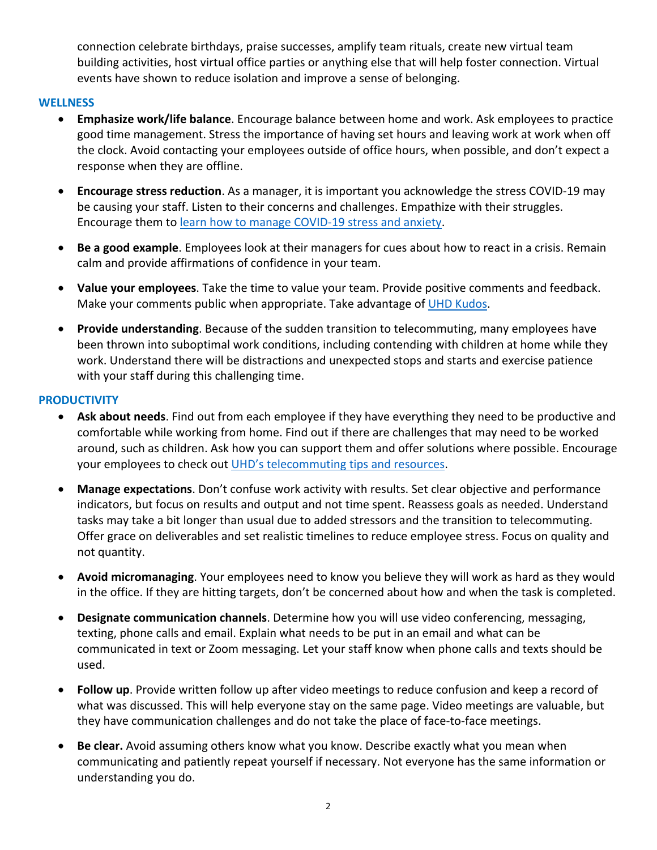connection celebrate birthdays, praise successes, amplify team rituals, create new virtual team building activities, host virtual office parties or anything else that will help foster connection. Virtual events have shown to reduce isolation and improve a sense of belonging.

## **WELLNESS**

- **Emphasize work/life balance**. Encourage balance between home and work. Ask employees to practice good time management. Stress the importance of having set hours and leaving work at work when off the clock. Avoid contacting your employees outside of office hours, when possible, and don't expect a response when they are offline.
- **Encourage stress reduction**. As a manager, it is important you acknowledge the stress COVID‐19 may be causing your staff. Listen to their concerns and challenges. Empathize with their struggles. Encourage them to learn how to manage COVID‐19 stress and anxiety.
- **Be a good example**. Employees look at their managers for cues about how to react in a crisis. Remain calm and provide affirmations of confidence in your team.
- **Value your employees**. Take the time to value your team. Provide positive comments and feedback. Make your comments public when appropriate. Take advantage of UHD Kudos.
- **Provide understanding**. Because of the sudden transition to telecommuting, many employees have been thrown into suboptimal work conditions, including contending with children at home while they work. Understand there will be distractions and unexpected stops and starts and exercise patience with your staff during this challenging time.

## **PRODUCTIVITY**

- **Ask about needs**. Find out from each employee if they have everything they need to be productive and comfortable while working from home. Find out if there are challenges that may need to be worked around, such as children. Ask how you can support them and offer solutions where possible. Encourage your employees to check out UHD's telecommuting tips and resources.
- **Manage expectations**. Don't confuse work activity with results. Set clear objective and performance indicators, but focus on results and output and not time spent. Reassess goals as needed. Understand tasks may take a bit longer than usual due to added stressors and the transition to telecommuting. Offer grace on deliverables and set realistic timelines to reduce employee stress. Focus on quality and not quantity.
- **Avoid micromanaging**. Your employees need to know you believe they will work as hard as they would in the office. If they are hitting targets, don't be concerned about how and when the task is completed.
- **Designate communication channels**. Determine how you will use video conferencing, messaging, texting, phone calls and email. Explain what needs to be put in an email and what can be communicated in text or Zoom messaging. Let your staff know when phone calls and texts should be used.
- **Follow up**. Provide written follow up after video meetings to reduce confusion and keep a record of what was discussed. This will help everyone stay on the same page. Video meetings are valuable, but they have communication challenges and do not take the place of face‐to‐face meetings.
- **Be clear.** Avoid assuming others know what you know. Describe exactly what you mean when communicating and patiently repeat yourself if necessary. Not everyone has the same information or understanding you do.